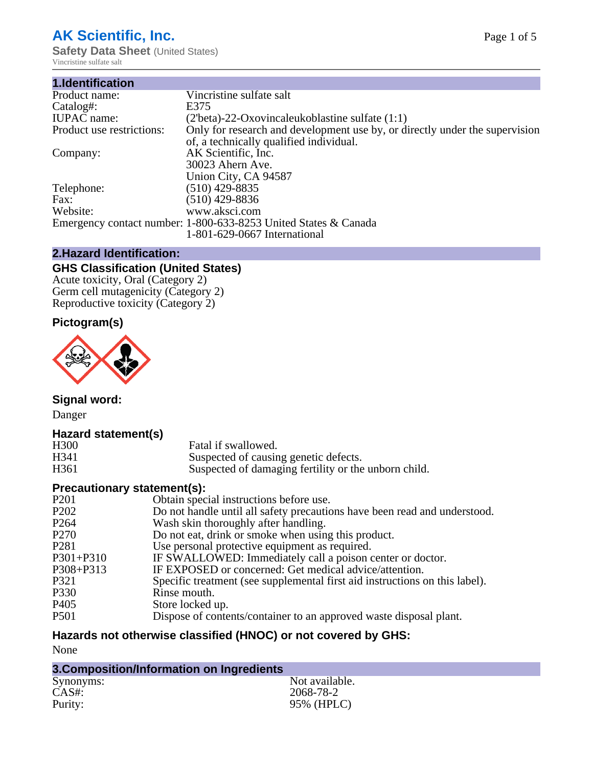# **AK Scientific, Inc.**

**Safety Data Sheet** (United States) Vincristine sulfate salt

| 1.Identification          |                                                                             |
|---------------------------|-----------------------------------------------------------------------------|
| Product name:             | Vincristine sulfate salt                                                    |
| Catalog#:                 | E375                                                                        |
| <b>IUPAC</b> name:        | $(2ththeta)$ -22-Oxovincaleukoblastine sulfate $(1:1)$                      |
| Product use restrictions: | Only for research and development use by, or directly under the supervision |
|                           | of, a technically qualified individual.                                     |
| Company:                  | AK Scientific, Inc.                                                         |
|                           | 30023 Ahern Ave.                                                            |
|                           | Union City, CA 94587                                                        |
| Telephone:                | $(510)$ 429-8835                                                            |
| Fax:                      | $(510)$ 429-8836                                                            |
| Website:                  | www.aksci.com                                                               |
|                           | Emergency contact number: 1-800-633-8253 United States & Canada             |
|                           | 1-801-629-0667 International                                                |
|                           |                                                                             |

## **2.Hazard Identification:**

# **GHS Classification (United States)**

Acute toxicity, Oral (Category 2) Germ cell mutagenicity (Category 2) Reproductive toxicity (Category 2)

# **Pictogram(s)**



**Signal word:**

Danger

#### **Hazard statement(s)**

| H <sub>300</sub> | Fatal if swallowed.                                  |
|------------------|------------------------------------------------------|
| H341             | Suspected of causing genetic defects.                |
| H <sub>361</sub> | Suspected of damaging fertility or the unborn child. |

## **Precautionary statement(s):**

| P <sub>201</sub> | Obtain special instructions before use.                                     |
|------------------|-----------------------------------------------------------------------------|
| P <sub>202</sub> | Do not handle until all safety precautions have been read and understood.   |
| P <sub>264</sub> | Wash skin thoroughly after handling.                                        |
| P <sub>270</sub> | Do not eat, drink or smoke when using this product.                         |
| P <sub>281</sub> | Use personal protective equipment as required.                              |
| $P301 + P310$    | IF SWALLOWED: Immediately call a poison center or doctor.                   |
| P308+P313        | IF EXPOSED or concerned: Get medical advice/attention.                      |
| P321             | Specific treatment (see supplemental first aid instructions on this label). |
| P330             | Rinse mouth.                                                                |
| P <sub>405</sub> | Store locked up.                                                            |
| P <sub>501</sub> | Dispose of contents/container to an approved waste disposal plant.          |
|                  |                                                                             |

# **Hazards not otherwise classified (HNOC) or not covered by GHS:**

None

| 3. Composition/Information on Ingredients |                |  |  |
|-------------------------------------------|----------------|--|--|
| Synonyms:                                 | Not available. |  |  |
| CAS#:                                     | 2068-78-2      |  |  |
| Purity:                                   | 95% (HPLC)     |  |  |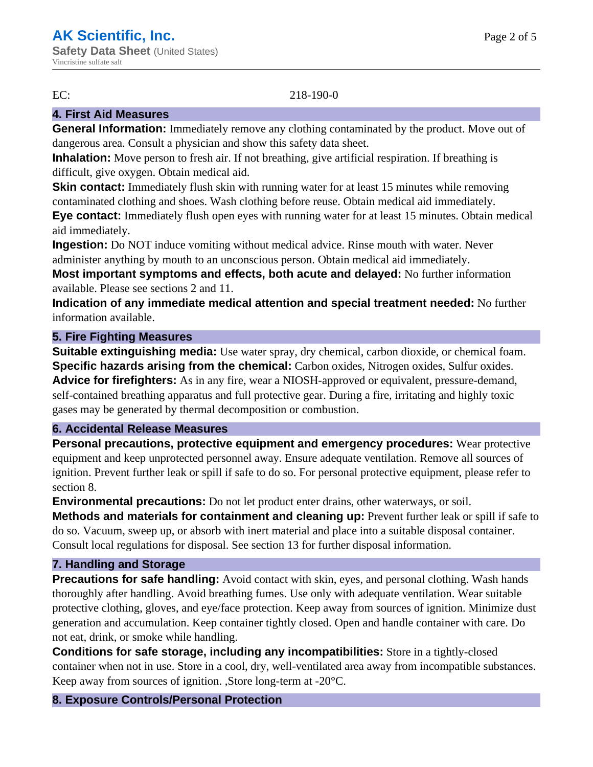#### EC: 218-190-0

## **4. First Aid Measures**

**General Information:** Immediately remove any clothing contaminated by the product. Move out of dangerous area. Consult a physician and show this safety data sheet.

**Inhalation:** Move person to fresh air. If not breathing, give artificial respiration. If breathing is difficult, give oxygen. Obtain medical aid.

**Skin contact:** Immediately flush skin with running water for at least 15 minutes while removing contaminated clothing and shoes. Wash clothing before reuse. Obtain medical aid immediately.

**Eye contact:** Immediately flush open eyes with running water for at least 15 minutes. Obtain medical aid immediately.

**Ingestion:** Do NOT induce vomiting without medical advice. Rinse mouth with water. Never administer anything by mouth to an unconscious person. Obtain medical aid immediately.

**Most important symptoms and effects, both acute and delayed:** No further information available. Please see sections 2 and 11.

**Indication of any immediate medical attention and special treatment needed:** No further information available.

#### **5. Fire Fighting Measures**

**Suitable extinguishing media:** Use water spray, dry chemical, carbon dioxide, or chemical foam. **Specific hazards arising from the chemical:** Carbon oxides, Nitrogen oxides, Sulfur oxides. **Advice for firefighters:** As in any fire, wear a NIOSH-approved or equivalent, pressure-demand, self-contained breathing apparatus and full protective gear. During a fire, irritating and highly toxic gases may be generated by thermal decomposition or combustion.

#### **6. Accidental Release Measures**

**Personal precautions, protective equipment and emergency procedures:** Wear protective equipment and keep unprotected personnel away. Ensure adequate ventilation. Remove all sources of ignition. Prevent further leak or spill if safe to do so. For personal protective equipment, please refer to section 8.

**Environmental precautions:** Do not let product enter drains, other waterways, or soil.

**Methods and materials for containment and cleaning up:** Prevent further leak or spill if safe to do so. Vacuum, sweep up, or absorb with inert material and place into a suitable disposal container. Consult local regulations for disposal. See section 13 for further disposal information.

#### **7. Handling and Storage**

**Precautions for safe handling:** Avoid contact with skin, eyes, and personal clothing. Wash hands thoroughly after handling. Avoid breathing fumes. Use only with adequate ventilation. Wear suitable protective clothing, gloves, and eye/face protection. Keep away from sources of ignition. Minimize dust generation and accumulation. Keep container tightly closed. Open and handle container with care. Do not eat, drink, or smoke while handling.

**Conditions for safe storage, including any incompatibilities:** Store in a tightly-closed container when not in use. Store in a cool, dry, well-ventilated area away from incompatible substances. Keep away from sources of ignition. ,Store long-term at -20°C.

#### **8. Exposure Controls/Personal Protection**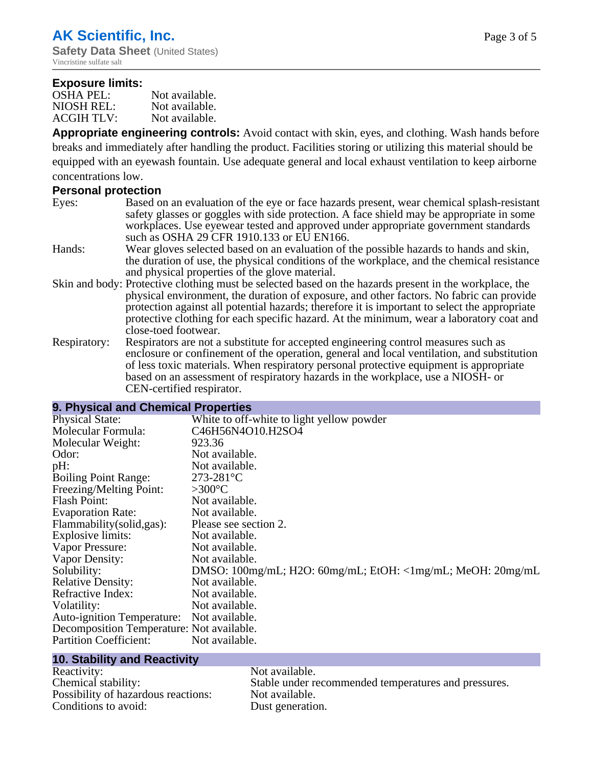#### **Exposure limits:**

| OSHA PEL:         | Not available. |
|-------------------|----------------|
| NIOSH REL:        | Not available. |
| <b>ACGIH TLV:</b> | Not available. |

**Appropriate engineering controls:** Avoid contact with skin, eyes, and clothing. Wash hands before breaks and immediately after handling the product. Facilities storing or utilizing this material should be equipped with an eyewash fountain. Use adequate general and local exhaust ventilation to keep airborne concentrations low.

#### **Personal protection**

| Eyes: | Based on an evaluation of the eye or face hazards present, wear chemical splash-resistant |
|-------|-------------------------------------------------------------------------------------------|
|       | safety glasses or goggles with side protection. A face shield may be appropriate in some  |
|       | workplaces. Use eyewear tested and approved under appropriate government standards        |
|       | such as OSHA 29 CFR 1910.133 or EU EN166.                                                 |

- Hands: Wear gloves selected based on an evaluation of the possible hazards to hands and skin, the duration of use, the physical conditions of the workplace, and the chemical resistance and physical properties of the glove material.
- Skin and body: Protective clothing must be selected based on the hazards present in the workplace, the physical environment, the duration of exposure, and other factors. No fabric can provide protection against all potential hazards; therefore it is important to select the appropriate protective clothing for each specific hazard. At the minimum, wear a laboratory coat and close-toed footwear.
- Respiratory: Respirators are not a substitute for accepted engineering control measures such as enclosure or confinement of the operation, general and local ventilation, and substitution of less toxic materials. When respiratory personal protective equipment is appropriate based on an assessment of respiratory hazards in the workplace, use a NIOSH- or CEN-certified respirator.

#### **9. Physical and Chemical Properties**

| <b>Physical State:</b>                    | White to off-white to light yellow powder                  |
|-------------------------------------------|------------------------------------------------------------|
| Molecular Formula:                        | C46H56N4O10.H2SO4                                          |
| Molecular Weight:                         | 923.36                                                     |
| Odor:                                     | Not available.                                             |
| pH:                                       | Not available.                                             |
| <b>Boiling Point Range:</b>               | $273 - 281$ °C                                             |
| Freezing/Melting Point:                   | $>300^{\circ}$ C                                           |
| Flash Point:                              | Not available.                                             |
| <b>Evaporation Rate:</b>                  | Not available.                                             |
| Flammability (solid, gas):                | Please see section 2.                                      |
| Explosive limits:                         | Not available.                                             |
| Vapor Pressure:                           | Not available.                                             |
| Vapor Density:                            | Not available.                                             |
| Solubility:                               | DMSO: 100mg/mL; H2O: 60mg/mL; EtOH: <1mg/mL; MeOH: 20mg/mL |
| <b>Relative Density:</b>                  | Not available.                                             |
| Refractive Index:                         | Not available.                                             |
| Volatility:                               | Not available.                                             |
| Auto-ignition Temperature: Not available. |                                                            |
| Decomposition Temperature: Not available. |                                                            |
| <b>Partition Coefficient:</b>             | Not available.                                             |
|                                           |                                                            |

#### **10. Stability and Reactivity**

| Reactivity:                         |
|-------------------------------------|
| Chemical stability:                 |
| Possibility of hazardous reactions: |
| Conditions to avoid:                |

Not available. Stable under recommended temperatures and pressures. Not available. Dust generation.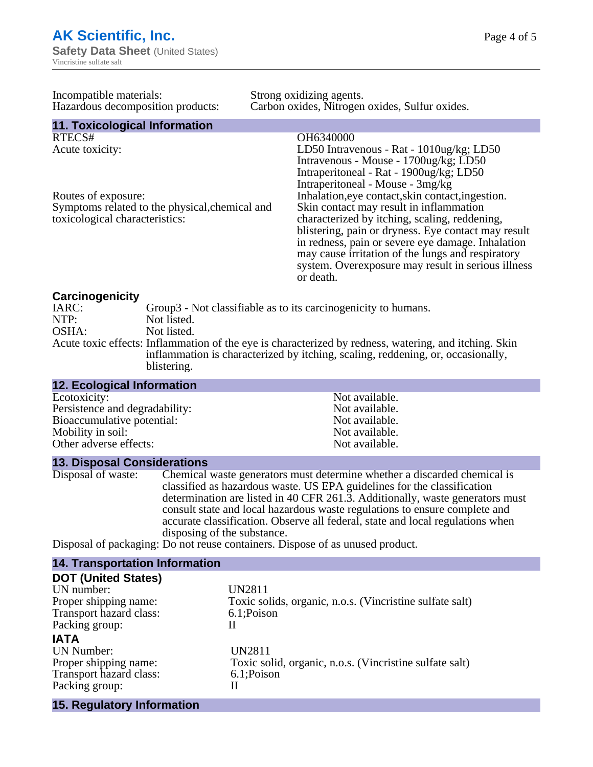Page 4 of 5

| Incompatible materials:<br>Hazardous decomposition products:                                                                                                                                                                                                                                                                                         |  |  | Strong oxidizing agents.<br>Carbon oxides, Nitrogen oxides, Sulfur oxides.                                                                                                                                                                                                                                                                                                                                            |
|------------------------------------------------------------------------------------------------------------------------------------------------------------------------------------------------------------------------------------------------------------------------------------------------------------------------------------------------------|--|--|-----------------------------------------------------------------------------------------------------------------------------------------------------------------------------------------------------------------------------------------------------------------------------------------------------------------------------------------------------------------------------------------------------------------------|
| 11. Toxicological Information                                                                                                                                                                                                                                                                                                                        |  |  |                                                                                                                                                                                                                                                                                                                                                                                                                       |
| RTECS#<br>Acute toxicity:                                                                                                                                                                                                                                                                                                                            |  |  | OH6340000<br>LD50 Intravenous - Rat - 1010ug/kg; LD50<br>Intravenous - Mouse - 1700ug/kg; LD50<br>Intraperitoneal - Rat - 1900ug/kg; LD50                                                                                                                                                                                                                                                                             |
| Routes of exposure:<br>Symptoms related to the physical, chemical and<br>toxicological characteristics:                                                                                                                                                                                                                                              |  |  | Intraperitoneal - Mouse - 3mg/kg<br>Inhalation, eye contact, skin contact, ingestion.<br>Skin contact may result in inflammation<br>characterized by itching, scaling, reddening,<br>blistering, pain or dryness. Eye contact may result<br>in redness, pain or severe eye damage. Inhalation<br>may cause irritation of the lungs and respiratory<br>system. Overexposure may result in serious illness<br>or death. |
| Carcinogenicity<br>IARC:<br>Group3 - Not classifiable as to its carcinogenicity to humans.<br>NTP:<br>Not listed.<br>OSHA:<br>Not listed.<br>Acute toxic effects: Inflammation of the eye is characterized by redness, watering, and itching. Skin<br>inflammation is characterized by itching, scaling, reddening, or, occasionally,<br>blistering. |  |  |                                                                                                                                                                                                                                                                                                                                                                                                                       |

| <b>12. Ecological Information</b> |                |
|-----------------------------------|----------------|
| Ecotoxicity:                      | Not available. |
| Persistence and degradability:    | Not available. |
| Bioaccumulative potential:        | Not available. |
| Mobility in soil:                 | Not available. |
| Other adverse effects:            | Not available. |

#### **13. Disposal Considerations**

Disposal of waste: Chemical waste generators must determine whether a discarded chemical is classified as hazardous waste. US EPA guidelines for the classification determination are listed in 40 CFR 261.3. Additionally, waste generators must consult state and local hazardous waste regulations to ensure complete and accurate classification. Observe all federal, state and local regulations when disposing of the substance.

Disposal of packaging: Do not reuse containers. Dispose of as unused product.

| <b>14. Transportation Information</b> |                                                          |
|---------------------------------------|----------------------------------------------------------|
| <b>DOT (United States)</b>            |                                                          |
| UN number:                            | UN2811                                                   |
| Proper shipping name:                 | Toxic solids, organic, n.o.s. (Vincristine sulfate salt) |
| Transport hazard class:               | 6.1;Poison                                               |
| Packing group:                        | Н                                                        |
| <b>IATA</b>                           |                                                          |
| <b>UN</b> Number:                     | <b>UN2811</b>                                            |
| Proper shipping name:                 | Toxic solid, organic, n.o.s. (Vincristine sulfate salt)  |
| Transport hazard class:               | 6.1; Poison                                              |
| Packing group:                        | Н                                                        |
| 15. Regulatory Information            |                                                          |